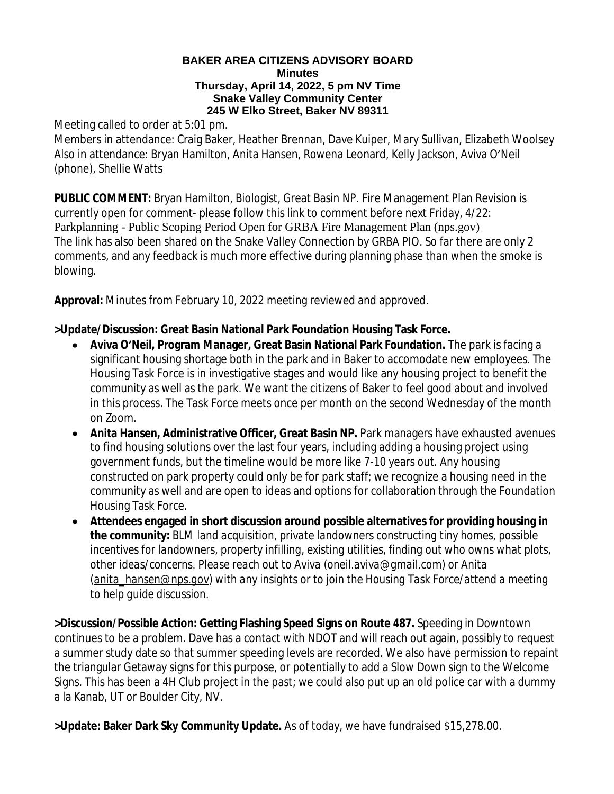## **BAKER AREA CITIZENS ADVISORY BOARD Minutes Thursday, April 14, 2022, 5 pm NV Time Snake Valley Community Center 245 W Elko Street, Baker NV 89311**

Meeting called to order at 5:01 pm.

Members in attendance: Craig Baker, Heather Brennan, Dave Kuiper, Mary Sullivan, Elizabeth Woolsey Also in attendance: Bryan Hamilton, Anita Hansen, Rowena Leonard, Kelly Jackson, Aviva O'Neil (phone), Shellie Watts

**PUBLIC COMMENT:** Bryan Hamilton, Biologist, Great Basin NP. Fire Management Plan Revision is currently open for comment- please follow this link to comment before next Friday, 4/22: [Parkplanning - Public Scoping Period Open for GRBA Fire Management Plan \(nps.gov\)](https://parkplanning.nps.gov/document.cfm?parkID=304&projectID=105453&documentID=119494) [The link has also been shared on the Snake Valley Connection by GRBA PIO. So far there are only 2](https://parkplanning.nps.gov/document.cfm?parkID=304&projectID=105453&documentID=119494)  [comments, and any feedback is much more effective during planning phase than when the smoke is](https://parkplanning.nps.gov/document.cfm?parkID=304&projectID=105453&documentID=119494)  [blowing.](https://parkplanning.nps.gov/document.cfm?parkID=304&projectID=105453&documentID=119494) 

**[Approval:](https://parkplanning.nps.gov/document.cfm?parkID=304&projectID=105453&documentID=119494)** [Minutes from February](https://parkplanning.nps.gov/document.cfm?parkID=304&projectID=105453&documentID=119494) [10, 2022](https://parkplanning.nps.gov/document.cfm?parkID=304&projectID=105453&documentID=119494) [meeting reviewed and approved.](https://parkplanning.nps.gov/document.cfm?parkID=304&projectID=105453&documentID=119494)

## **[>Update/Discussion:](https://parkplanning.nps.gov/document.cfm?parkID=304&projectID=105453&documentID=119494) [Great Basin National Park Foundation Housing Task Force.](https://parkplanning.nps.gov/document.cfm?parkID=304&projectID=105453&documentID=119494)**

- **Aviva O'[Neil, Program Manager, Great Basin National Park Foundation.](https://parkplanning.nps.gov/document.cfm?parkID=304&projectID=105453&documentID=119494)** [The park is facing a](https://parkplanning.nps.gov/document.cfm?parkID=304&projectID=105453&documentID=119494)  [significant housing shortage both in the park and in Baker to accomodate new employees. The](https://parkplanning.nps.gov/document.cfm?parkID=304&projectID=105453&documentID=119494)  [Housing Task Force is in investigative stages and would like any housing project to benefit the](https://parkplanning.nps.gov/document.cfm?parkID=304&projectID=105453&documentID=119494)  [community as well as the park. We want the citizens of Baker to feel good about and involved](https://parkplanning.nps.gov/document.cfm?parkID=304&projectID=105453&documentID=119494)  [in this process. The Task Force meets once per month on the second Wednesday of the month](https://parkplanning.nps.gov/document.cfm?parkID=304&projectID=105453&documentID=119494)  [on Zoom.](https://parkplanning.nps.gov/document.cfm?parkID=304&projectID=105453&documentID=119494)
- **[Anita Hansen, Administrative Officer, Great Basin NP.](https://parkplanning.nps.gov/document.cfm?parkID=304&projectID=105453&documentID=119494)** Park managers have exhausted avenues [to find housing solutions over the last four years, including adding a housing project using](https://parkplanning.nps.gov/document.cfm?parkID=304&projectID=105453&documentID=119494)  [government funds, but the timeline would be more like 7-10 years out. Any housing](https://parkplanning.nps.gov/document.cfm?parkID=304&projectID=105453&documentID=119494)  [constructed on park property could only be for park staff; we recognize a housing need in the](https://parkplanning.nps.gov/document.cfm?parkID=304&projectID=105453&documentID=119494)  [community as well and are open to ideas and options for collaboration through the Foundation](https://parkplanning.nps.gov/document.cfm?parkID=304&projectID=105453&documentID=119494)  [Housing Task Force.](https://parkplanning.nps.gov/document.cfm?parkID=304&projectID=105453&documentID=119494)
- **[Attendees engaged in short discussion around possible alternatives for providing housing in](https://parkplanning.nps.gov/document.cfm?parkID=304&projectID=105453&documentID=119494)  [the community:](https://parkplanning.nps.gov/document.cfm?parkID=304&projectID=105453&documentID=119494)** *[BLM land acquisition, private landowners constructing tiny homes, possible](https://parkplanning.nps.gov/document.cfm?parkID=304&projectID=105453&documentID=119494)  [incentives for landowners, property infilling, existing utilities,](https://parkplanning.nps.gov/document.cfm?parkID=304&projectID=105453&documentID=119494) [finding out who owns what plots,](https://parkplanning.nps.gov/document.cfm?parkID=304&projectID=105453&documentID=119494)  [other ideas/concerns. Please reach out to Aviva \(](https://parkplanning.nps.gov/document.cfm?parkID=304&projectID=105453&documentID=119494)[oneil.aviva@gmail.com\)](mailto:oneil.aviva@gmail.com) or Anita ([anita\\_hansen@nps.gov](mailto:anita_hansen@nps.gov)) with any insights or to join the Housing Task Force/attend a meeting to help guide discussion.*

**>Discussion/Possible Action: Getting Flashing Speed Signs on Route 487.** Speeding in Downtown continues to be a problem. Dave has a contact with NDOT and will reach out again, possibly to request a summer study date so that summer speeding levels are recorded. We also have permission to repaint the triangular Getaway signs for this purpose, or potentially to add a Slow Down sign to the Welcome Signs. This has been a 4H Club project in the past; we could also put up an old police car with a dummy a la Kanab, UT or Boulder City, NV.

**>Update: Baker Dark Sky Community Update.** As of today, we have fundraised \$15,278.00.